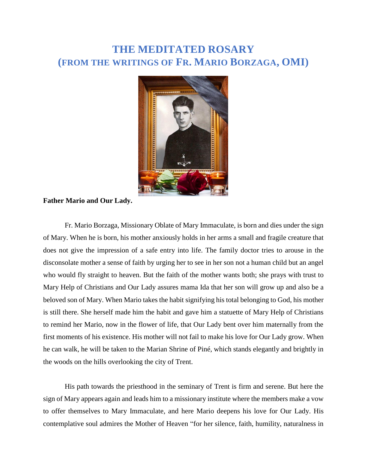# **THE MEDITATED ROSARY (FROM THE WRITINGS OF FR. MARIO BORZAGA, OMI)**



#### **Father Mario and Our Lady.**

Fr. Mario Borzaga, Missionary Oblate of Mary Immaculate, is born and dies under the sign of Mary. When he is born, his mother anxiously holds in her arms a small and fragile creature that does not give the impression of a safe entry into life. The family doctor tries to arouse in the disconsolate mother a sense of faith by urging her to see in her son not a human child but an angel who would fly straight to heaven. But the faith of the mother wants both; she prays with trust to Mary Help of Christians and Our Lady assures mama Ida that her son will grow up and also be a beloved son of Mary. When Mario takes the habit signifying his total belonging to God, his mother is still there. She herself made him the habit and gave him a statuette of Mary Help of Christians to remind her Mario, now in the flower of life, that Our Lady bent over him maternally from the first moments of his existence. His mother will not fail to make his love for Our Lady grow. When he can walk, he will be taken to the Marian Shrine of Piné, which stands elegantly and brightly in the woods on the hills overlooking the city of Trent.

His path towards the priesthood in the seminary of Trent is firm and serene. But here the sign of Mary appears again and leads him to a missionary institute where the members make a vow to offer themselves to Mary Immaculate, and here Mario deepens his love for Our Lady. His contemplative soul admires the Mother of Heaven "for her silence, faith, humility, naturalness in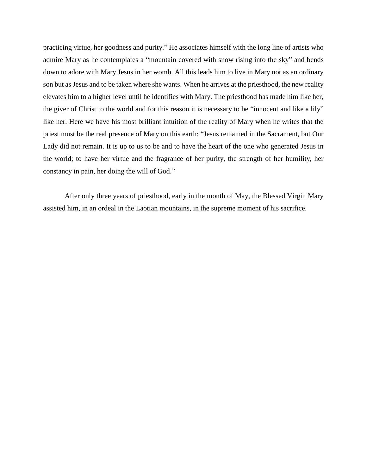practicing virtue, her goodness and purity." He associates himself with the long line of artists who admire Mary as he contemplates a "mountain covered with snow rising into the sky" and bends down to adore with Mary Jesus in her womb. All this leads him to live in Mary not as an ordinary son but as Jesus and to be taken where she wants. When he arrives at the priesthood, the new reality elevates him to a higher level until he identifies with Mary. The priesthood has made him like her, the giver of Christ to the world and for this reason it is necessary to be "innocent and like a lily" like her. Here we have his most brilliant intuition of the reality of Mary when he writes that the priest must be the real presence of Mary on this earth: "Jesus remained in the Sacrament, but Our Lady did not remain. It is up to us to be and to have the heart of the one who generated Jesus in the world; to have her virtue and the fragrance of her purity, the strength of her humility, her constancy in pain, her doing the will of God."

After only three years of priesthood, early in the month of May, the Blessed Virgin Mary assisted him, in an ordeal in the Laotian mountains, in the supreme moment of his sacrifice.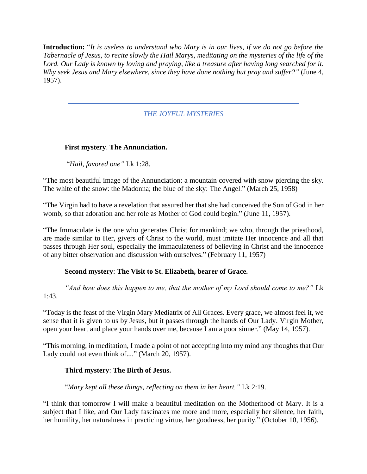**Introduction:** "*It is useless to understand who Mary is in our lives, if we do not go before the Tabernacle of Jesus, to recite slowly the Hail Marys, meditating on the mysteries of the life of the Lord. Our Lady is known by loving and praying, like a treasure after having long searched for it. Why seek Jesus and Mary elsewhere, since they have done nothing but pray and suffer?"* (June 4, 1957).

# *THE JOYFUL MYSTERIES*

# **First mystery**. **The Annunciation.**

"*Hail, favored one"* Lk 1:28.

"The most beautiful image of the Annunciation: a mountain covered with snow piercing the sky. The white of the snow: the Madonna; the blue of the sky: The Angel." (March 25, 1958)

"The Virgin had to have a revelation that assured her that she had conceived the Son of God in her womb, so that adoration and her role as Mother of God could begin." (June 11, 1957).

"The Immaculate is the one who generates Christ for mankind; we who, through the priesthood, are made similar to Her, givers of Christ to the world, must imitate Her innocence and all that passes through Her soul, especially the immaculateness of believing in Christ and the innocence of any bitter observation and discussion with ourselves." (February 11, 1957)

#### **Second mystery**: **The Visit to St. Elizabeth, bearer of Grace.**

*"And how does this happen to me, that the mother of my Lord should come to me?"* Lk 1:43.

"Today is the feast of the Virgin Mary Mediatrix of All Graces. Every grace, we almost feel it, we sense that it is given to us by Jesus, but it passes through the hands of Our Lady. Virgin Mother, open your heart and place your hands over me, because I am a poor sinner." (May 14, 1957).

"This morning, in meditation, I made a point of not accepting into my mind any thoughts that Our Lady could not even think of...." (March 20, 1957).

# **Third mystery**: **The Birth of Jesus.**

"*Mary kept all these things, reflecting on them in her heart."* Lk 2:19.

"I think that tomorrow I will make a beautiful meditation on the Motherhood of Mary. It is a subject that I like, and Our Lady fascinates me more and more, especially her silence, her faith, her humility, her naturalness in practicing virtue, her goodness, her purity." (October 10, 1956).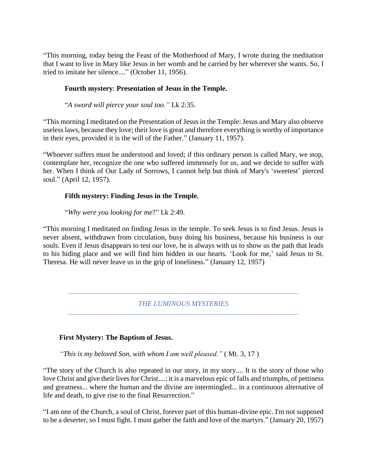"This morning, today being the Feast of the Motherhood of Mary, I wrote during the meditation that I want to live in Mary like Jesus in her womb and be carried by her wherever she wants. So, I tried to imitate her silence...." (October 11, 1956).

## **Fourth mystery**: **Presentation of Jesus in the Temple.**

"*A sword will pierce your soul too."* Lk 2:35.

"This morning I meditated on the Presentation of Jesus in the Temple: Jesus and Mary also observe useless laws, because they love; their love is great and therefore everything is worthy of importance in their eyes, provided it is the will of the Father." (January 11, 1957).

"Whoever suffers must be understood and loved; if this ordinary person is called Mary, we stop, contemplate her, recognize the one who suffered immensely for us, and we decide to suffer with her. When I think of Our Lady of Sorrows, I cannot help but think of Mary's 'sweetest' pierced soul." (April 12, 1957).

## **Fifth mystery: Finding Jesus in the Temple.**

"*Why were you looking for me*?" Lk 2:49.

"This morning I meditated on finding Jesus in the temple. To seek Jesus is to find Jesus. Jesus is never absent, withdrawn from circulation, busy doing his business, because his business is our souls. Even if Jesus disappears to test our love, he is always with us to show us the path that leads to his hiding place and we will find him hidden in our hearts. 'Look for me,' said Jesus to St. Theresa. He will never leave us in the grip of loneliness." (January 12, 1957)

#### *THE LUMINOUS MYSTERIES*

# **First Mystery: The Baptism of Jesus.**

*"This is my beloved Son, with whom I am well pleased."* ( Mt. 3, 17 )

"The story of the Church is also repeated in our story, in my story.... It is the story of those who love Christ and give their lives for Christ....; it is a marvelous epic of falls and triumphs, of pettiness and greatness... where the human and the divine are intermingled... in a continuous alternative of life and death, to give rise to the final Resurrection."

"I am one of the Church, a soul of Christ, forever part of this human-divine epic. I'm not supposed to be a deserter, so I must fight. I must gather the faith and love of the martyrs." (January 20, 1957)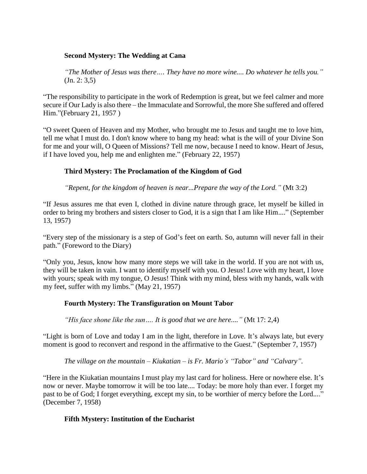## **Second Mystery: The Wedding at Cana**

*"The Mother of Jesus was there…. They have no more wine.... Do whatever he tells you."* (Jn. 2: 3,5)

"The responsibility to participate in the work of Redemption is great, but we feel calmer and more secure if Our Lady is also there – the Immaculate and Sorrowful, the more She suffered and offered Him."(February 21, 1957 )

"O sweet Queen of Heaven and my Mother, who brought me to Jesus and taught me to love him, tell me what I must do. I don't know where to bang my head: what is the will of your Divine Son for me and your will, O Queen of Missions? Tell me now, because I need to know. Heart of Jesus, if I have loved you, help me and enlighten me." (February 22, 1957)

# **Third Mystery: The Proclamation of the Kingdom of God**

*"Repent, for the kingdom of heaven is near...Prepare the way of the Lord."* (Mt 3:2)

"If Jesus assures me that even I, clothed in divine nature through grace, let myself be killed in order to bring my brothers and sisters closer to God, it is a sign that I am like Him...." (September 13, 1957)

"Every step of the missionary is a step of God's feet on earth. So, autumn will never fall in their path." (Foreword to the Diary)

"Only you, Jesus, know how many more steps we will take in the world. If you are not with us, they will be taken in vain. I want to identify myself with you. O Jesus! Love with my heart, I love with yours; speak with my tongue, O Jesus! Think with my mind, bless with my hands, walk with my feet, suffer with my limbs." (May 21, 1957)

# **Fourth Mystery: The Transfiguration on Mount Tabor**

*"His face shone like the sun…. It is good that we are here...."* (Mt 17: 2,4)

"Light is born of Love and today I am in the light, therefore in Love. It's always late, but every moment is good to reconvert and respond in the affirmative to the Guest." (September 7, 1957)

*The village on the mountain – Kiukatian – is Fr. Mario's "Tabor" and "Calvary".*

"Here in the Kiukatian mountains I must play my last card for holiness. Here or nowhere else. It's now or never. Maybe tomorrow it will be too late.... Today: be more holy than ever. I forget my past to be of God; I forget everything, except my sin, to be worthier of mercy before the Lord...." (December 7, 1958)

#### **Fifth Mystery: Institution of the Eucharist**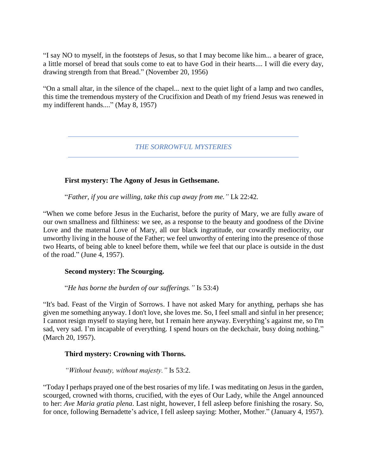"I say NO to myself, in the footsteps of Jesus, so that I may become like him... a bearer of grace, a little morsel of bread that souls come to eat to have God in their hearts.... I will die every day, drawing strength from that Bread." (November 20, 1956)

"On a small altar, in the silence of the chapel... next to the quiet light of a lamp and two candles, this time the tremendous mystery of the Crucifixion and Death of my friend Jesus was renewed in my indifferent hands...." (May 8, 1957)

*THE SORROWFUL MYSTERIES*

## **First mystery: The Agony of Jesus in Gethsemane.**

"*Father, if you are willing, take this cup away from me."* Lk 22:42*.*

"When we come before Jesus in the Eucharist, before the purity of Mary, we are fully aware of our own smallness and filthiness: we see, as a response to the beauty and goodness of the Divine Love and the maternal Love of Mary, all our black ingratitude, our cowardly mediocrity, our unworthy living in the house of the Father; we feel unworthy of entering into the presence of those two Hearts, of being able to kneel before them, while we feel that our place is outside in the dust of the road." (June 4, 1957).

# **Second mystery: The Scourging.**

"*He has borne the burden of our sufferings."* Is 53:4)

"It's bad. Feast of the Virgin of Sorrows. I have not asked Mary for anything, perhaps she has given me something anyway. I don't love, she loves me. So, I feel small and sinful in her presence; I cannot resign myself to staying here, but I remain here anyway. Everything's against me, so I'm sad, very sad. I'm incapable of everything. I spend hours on the deckchair, busy doing nothing." (March 20, 1957).

#### **Third mystery: Crowning with Thorns.**

*"Without beauty, without majesty."* Is 53:2.

"Today I perhaps prayed one of the best rosaries of my life. I was meditating on Jesus in the garden, scourged, crowned with thorns, crucified, with the eyes of Our Lady, while the Angel announced to her: *Ave Maria gratia plena*. Last night, however, I fell asleep before finishing the rosary. So, for once, following Bernadette's advice, I fell asleep saying: Mother, Mother." (January 4, 1957).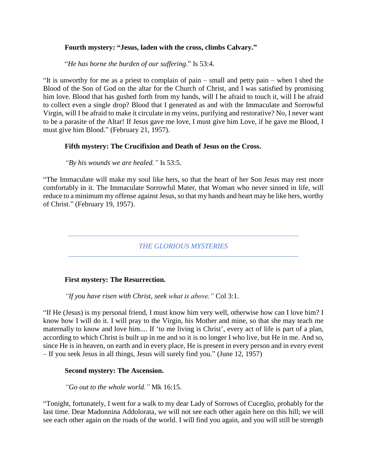## **Fourth mystery: "Jesus, laden with the cross, climbs Calvary."**

"*He has borne the burden of our suffering*." Is 53:4.

"It is unworthy for me as a priest to complain of pain – small and petty pain – when I shed the Blood of the Son of God on the altar for the Church of Christ, and I was satisfied by promising him love. Blood that has gushed forth from my hands, will I be afraid to touch it, will I be afraid to collect even a single drop? Blood that I generated as and with the Immaculate and Sorrowful Virgin, will I be afraid to make it circulate in my veins, purifying and restorative? No, I never want to be a parasite of the Altar! If Jesus gave me love, I must give him Love, if he gave me Blood, I must give him Blood." (February 21, 1957).

## **Fifth mystery: The Crucifixion and Death of Jesus on the Cross.**

*"By his wounds we are healed."* Is 53:5.

"The Immaculate will make my soul like hers, so that the heart of her Son Jesus may rest more comfortably in it. The Immaculate Sorrowful Mater, that Woman who never sinned in life, will reduce to a minimum my offense against Jesus, so that my hands and heart may be like hers, worthy of Christ." (February 19, 1957).

*THE GLORIOUS MYSTERIES*

#### **First mystery: The Resurrection.**

*"If you have risen with Christ, seek what is above."* Col 3:1.

"If He (Jesus) is my personal friend, I must know him very well, otherwise how can I love him? I know how I will do it. I will pray to the Virgin, his Mother and mine, so that she may teach me maternally to know and love him.... If 'to me living is Christ', every act of life is part of a plan, according to which Christ is built up in me and so it is no longer I who live, but He in me. And so, since He is in heaven, on earth and in every place, He is present in every person and in every event – If you seek Jesus in all things, Jesus will surely find you." (June 12, 1957)

#### **Second mystery: The Ascension.**

*"Go out to the whole world."* Mk 16:15.

"Tonight, fortunately, I went for a walk to my dear Lady of Sorrows of Cuceglio, probably for the last time. Dear Madonnina Addolorata, we will not see each other again here on this hill; we will see each other again on the roads of the world. I will find you again, and you will still be strength